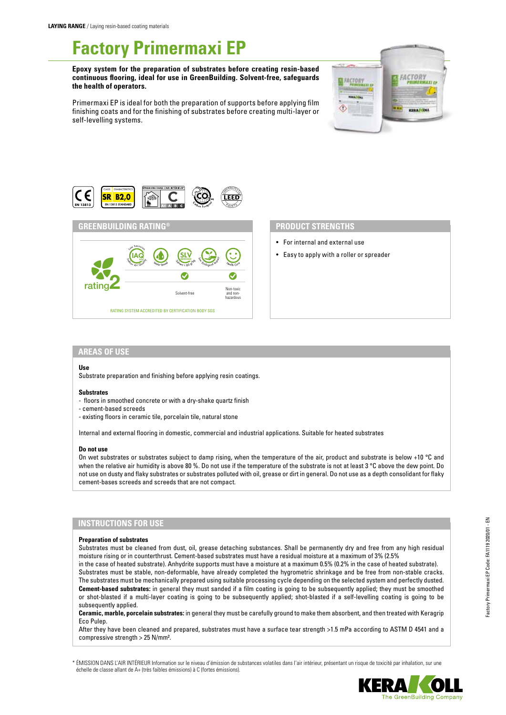# **Factory Primermaxi EP**

**Epoxy system for the preparation of substrates before creating resin-based continuous flooring, ideal for use in GreenBuilding. Solvent-free, safeguards the health of operators.**

Primermaxi EP is ideal for both the preparation of supports before applying film finishing coats and for the finishing of substrates before creating multi-layer or self-levelling systems.







# **PRODUCT STRENGTHS**

- For internal and external use
- Easy to apply with a roller or spreader

# **AREAS OF USE**

### **Use**

Substrate preparation and finishing before applying resin coatings.

#### **Substrates**

- floors in smoothed concrete or with a dry-shake quartz finish
- cement-based screeds
- existing floors in ceramic tile, porcelain tile, natural stone

Internal and external flooring in domestic, commercial and industrial applications. Suitable for heated substrates

## **Do not use**

On wet substrates or substrates subject to damp rising, when the temperature of the air, product and substrate is below +10 °C and when the relative air humidity is above 80 %. Do not use if the temperature of the substrate is not at least 3 °C above the dew point. Do not use on dusty and flaky substrates or substrates polluted with oil, grease or dirt in general. Do not use as a depth consolidant for flaky cement-bases screeds and screeds that are not compact.

# **INSTRUCTIONS FOR USE**

### **Preparation of substrates**

Substrates must be cleaned from dust, oil, grease detaching substances. Shall be permanently dry and free from any high residual moisture rising or in counterthrust. Cement-based substrates must have a residual moisture at a maximum of 3% (2.5%

in the case of heated substrate). Anhydrite supports must have a moisture at a maximum 0.5% (0.2% in the case of heated substrate). Substrates must be stable, non-deformable, have already completed the hygrometric shrinkage and be free from non-stable cracks. The substrates must be mechanically prepared using suitable processing cycle depending on the selected system and perfectly dusted. **Cement-based substrates:** in general they must sanded if a film coating is going to be subsequently applied; they must be smoothed or shot-blasted if a multi-layer coating is going to be subsequently applied; shot-blasted if a self-levelling coating is going to be subsequently applied.

**Ceramic, marble, porcelain substrates:** in general they must be carefully ground to make them absorbent, and then treated with Keragrip Eco Pulep.

After they have been cleaned and prepared, substrates must have a surface tear strength >1.5 mPa according to ASTM D 4541 and a compressive strength > 25 N/mm².

\* ÉMISSION DANS L'AIR INTÉRIEUR Information sur le niveau d'émission de substances volatiles dans l'air intérieur, présentant un risque de toxicité par inhalation, sur une échelle de classe allant de A+ (très faibles émissions) à C (fortes émissions).

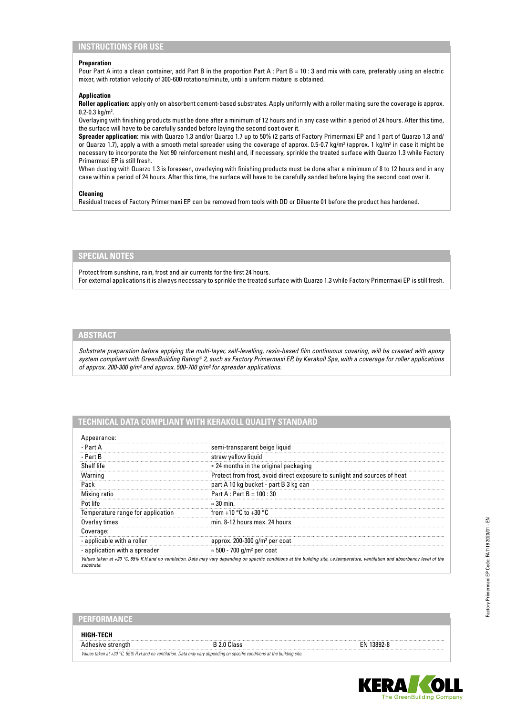# **INSTRUCTIONS FOR USE**

## **Preparation**

Pour Part A into a clean container, add Part B in the proportion Part A : Part B = 10 : 3 and mix with care, preferably using an electric mixer, with rotation velocity of 300-600 rotations/minute, until a uniform mixture is obtained.

## **Application**

**Roller application:** apply only on absorbent cement-based substrates. Apply uniformly with a roller making sure the coverage is approx.  $0.2 - 0.3$  kg/m<sup>2</sup>.

Overlaying with finishing products must be done after a minimum of 12 hours and in any case within a period of 24 hours. After this time, the surface will have to be carefully sanded before laying the second coat over it.

**Spreader application:** mix with Quarzo 1.3 and/or Quarzo 1.7 up to 50% (2 parts of Factory Primermaxi EP and 1 part of Quarzo 1.3 and/ or Quarzo 1.7), apply a with a smooth metal spreader using the coverage of approx. 0.5-0.7 kg/m<sup>2</sup> (approx. 1 kg/m<sup>2</sup> in case it might be necessary to incorporate the Net 90 reinforcement mesh) and, if necessary, sprinkle the treated surface with Quarzo 1.3 while Factory Primermaxi EP is still fresh.

When dusting with Quarzo 1.3 is foreseen, overlaying with finishing products must be done after a minimum of 8 to 12 hours and in any case within a period of 24 hours. After this time, the surface will have to be carefully sanded before laying the second coat over it.

## **Cleaning**

Residual traces of Factory Primermaxi EP can be removed from tools with DD or Diluente 01 before the product has hardened.

# **SPECIAL NOTES**

Protect from sunshine, rain, frost and air currents for the first 24 hours. For external applications it is always necessary to sprinkle the treated surface with Quarzo 1.3 while Factory Primermaxi EP is still fresh.

# **ABSTRACT**

*Substrate preparation before applying the multi-layer, self-levelling, resin-based film continuous covering, will be created with epoxy system compliant with GreenBuilding Rating® 2, such as Factory Primermaxi EP, by Kerakoll Spa, with a coverage for roller applications of approx. 200-300 g/m² and approx. 500-700 g/m² for spreader applications.*

# **TECHNICAL DATA COMPLIANT WITH KERAKOLL QUALITY STANDARD**

| Appearance:                       |                                                                                                                                                                                   |  |
|-----------------------------------|-----------------------------------------------------------------------------------------------------------------------------------------------------------------------------------|--|
| - Part A                          | semi-transparent beige liquid                                                                                                                                                     |  |
| - Part B                          | straw yellow liquid                                                                                                                                                               |  |
| Shelf life                        | $\approx$ 24 months in the original packaging                                                                                                                                     |  |
| Warning                           | Protect from frost, avoid direct exposure to sunlight and sources of heat                                                                                                         |  |
| Pack                              | part A 10 kg bucket - part B 3 kg can                                                                                                                                             |  |
| Mixing ratio                      | Part A : Part B = $100:30$                                                                                                                                                        |  |
| Pot life                          | $\approx 30$ min.                                                                                                                                                                 |  |
| Temperature range for application | from +10 $^{\circ}$ C to +30 $^{\circ}$ C                                                                                                                                         |  |
| Overlay times                     | min. 8-12 hours max. 24 hours                                                                                                                                                     |  |
| Coverage:                         |                                                                                                                                                                                   |  |
| - applicable with a roller        | approx. $200-300$ g/m <sup>2</sup> per coat                                                                                                                                       |  |
| - application with a spreader     | $\approx$ 500 - 700 g/m <sup>2</sup> per coat                                                                                                                                     |  |
| substrate                         | Values taken at +20 °C, 65% R.H.and no ventilation. Data may vary depending on specific conditions at the building site, i.e.temperature, ventilation and absorbency level of the |  |

| '21 3 4 3 0 1                                                                                                                       |  |        |  |
|-------------------------------------------------------------------------------------------------------------------------------------|--|--------|--|
| HIGH TFCH                                                                                                                           |  |        |  |
|                                                                                                                                     |  | 3892-8 |  |
| Values taken at +20 $^{\circ}$ C, 65% R.H. and no ventilation. Data may vary depending on specific conditions at the building site. |  |        |  |